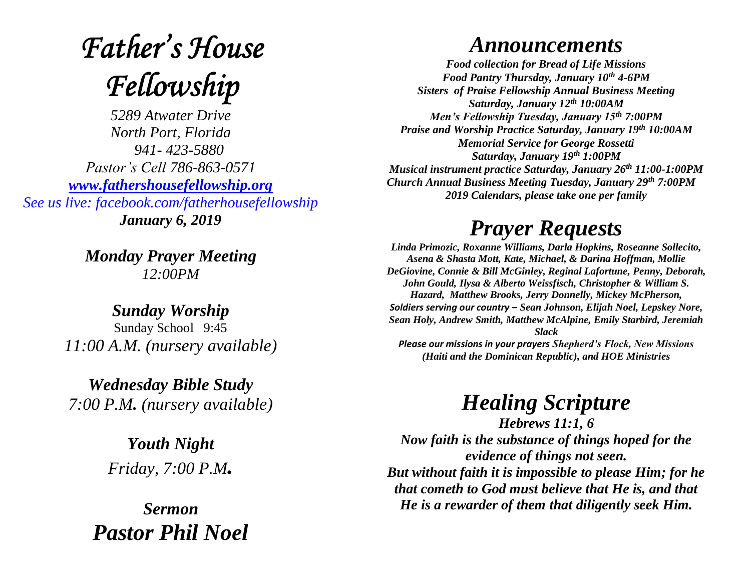# **Father's House** Fellowship

*5289 Atwater Drive North Port, Florida 941- 423-5880 Pastor's Cell 786-863-0571 [www.fathershousefellowship.org](http://www.fathershousefellowship.org/) See us live: facebook.com/fatherhousefellowship January 6, 2019*

> *Monday Prayer Meeting 12:00PM*

*Sunday Worship* Sunday School 9:45 *11:00 A.M. (nursery available)*

*Wednesday Bible Study 7:00 P.M. (nursery available)*

> *Youth Night Friday, 7:00 P.M.*

*Sermon Pastor Phil Noel*

#### *Announcements*

*Food collection for Bread of Life Missions Food Pantry Thursday, January 10th 4-6PM Sisters of Praise Fellowship Annual Business Meeting Saturday, January 12th 10:00AM Men's Fellowship Tuesday, January 15th 7:00PM Praise and Worship Practice Saturday, January 19th 10:00AM Memorial Service for George Rossetti Saturday, January 19th 1:00PM Musical instrument practice Saturday, January 26th 11:00-1:00PM Church Annual Business Meeting Tuesday, January 29th 7:00PM 2019 Calendars, please take one per family*

## *Prayer Requests*

*Linda Primozic, Roxanne Williams, Darla Hopkins, Roseanne Sollecito, Asena & Shasta Mott, Kate, Michael, & Darina Hoffman, Mollie DeGiovine, Connie & Bill McGinley, Reginal Lafortune, Penny, Deborah, John Gould, Ilysa & Alberto Weissfisch, Christopher & William S. Hazard, Matthew Brooks, Jerry Donnelly, Mickey McPherson, Soldiers serving our country – Sean Johnson, Elijah Noel, Lepskey Nore, Sean Holy, Andrew Smith, Matthew McAlpine, Emily Starbird, Jeremiah Slack*

*Please our missions in your prayers Shepherd's Flock, New Missions (Haiti and the Dominican Republic), and HOE Ministries*

### *Healing Scripture*

*Hebrews 11:1, 6 Now faith is the substance of things hoped for the evidence of things not seen. But without faith it is impossible to please Him; for he that cometh to God must believe that He is, and that He is a rewarder of them that diligently seek Him.*